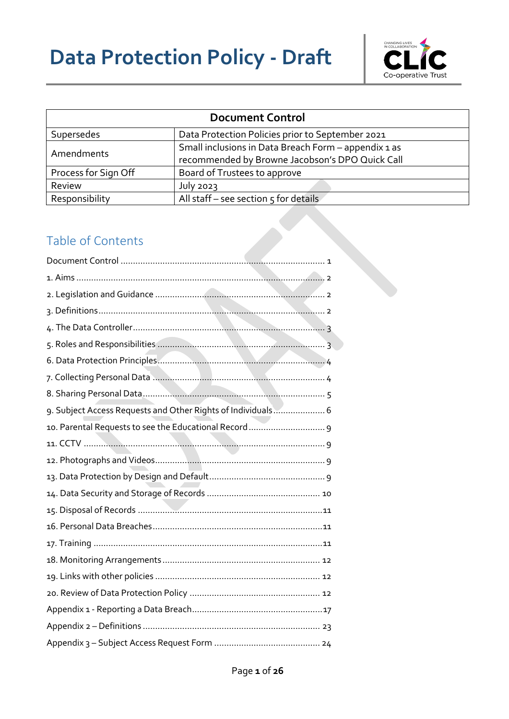# **Data Protection Policy - Draft**



<span id="page-0-0"></span>

| <b>Document Control</b> |                                                                                                         |  |
|-------------------------|---------------------------------------------------------------------------------------------------------|--|
| Supersedes              | Data Protection Policies prior to September 2021                                                        |  |
| Amendments              | Small inclusions in Data Breach Form - appendix 1 as<br>recommended by Browne Jacobson's DPO Quick Call |  |
| Process for Sign Off    | Board of Trustees to approve                                                                            |  |
| Review                  | July 2023                                                                                               |  |
| Responsibility          | All staff - see section 5 for details                                                                   |  |

## Table of Contents

| 9. Subject Access Requests and Other Rights of Individuals 6 |
|--------------------------------------------------------------|
|                                                              |
|                                                              |
|                                                              |
|                                                              |
|                                                              |
|                                                              |
|                                                              |
|                                                              |
|                                                              |
|                                                              |
|                                                              |
|                                                              |
|                                                              |
|                                                              |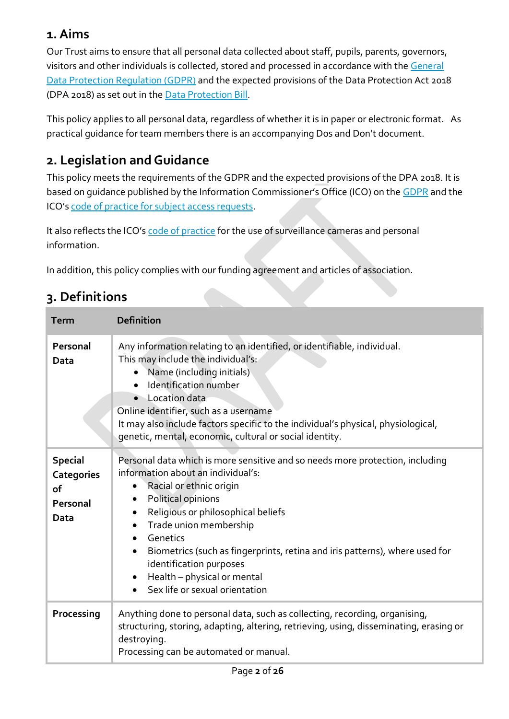## <span id="page-1-0"></span>**1. Aims**

Our Trust aims to ensure that all personal data collected about staff, pupils, parents, governors, visitors and other individuals is collected, stored and processed in accordance with the [General](http://data.consilium.europa.eu/doc/document/ST-5419-2016-INIT/en/pdf)  [Data Protection Regulation \(GDPR\)](http://data.consilium.europa.eu/doc/document/ST-5419-2016-INIT/en/pdf) and the expected provisions of the Data Protection Act 2018 (DPA 2018) as set out in the [Data Protection Bill.](https://publications.parliament.uk/pa/bills/cbill/2017-2019/0153/18153.pdf)

This policy applies to all personal data, regardless of whether it is in paper or electronic format. As practical guidance for team members there is an accompanying Dos and Don't document.

# <span id="page-1-1"></span>**2. Legislation and Guidance**

This policy meets the requirements of the GDPR and the expected provisions of the DPA 2018. It is based on guidance published by the Information Commissioner's Office (ICO) on the [GDPR](https://ico.org.uk/for-organisations/guide-to-the-general-data-protection-regulation-gdpr/) and the ICO's [code of practice for subject access requests.](https://ico.org.uk/media/for-organisations/documents/2014223/subject-access-code-of-practice.pdf)

It also reflects the ICO's [code of practice](https://ico.org.uk/media/for-organisations/documents/1542/cctv-code-of-practice.pdf) for the use of surveillance cameras and personal information.

In addition, this policy complies with our funding agreement and articles of association.

## <span id="page-1-2"></span>**3. Definitions**

| <b>Term</b>                                                   | <b>Definition</b>                                                                                                                                                                                                                                                                                                                                                                                                                                                                    |
|---------------------------------------------------------------|--------------------------------------------------------------------------------------------------------------------------------------------------------------------------------------------------------------------------------------------------------------------------------------------------------------------------------------------------------------------------------------------------------------------------------------------------------------------------------------|
| Personal<br>Data                                              | Any information relating to an identified, or identifiable, individual.<br>This may include the individual's:<br>• Name (including initials)<br>Identification number<br>• Location data<br>Online identifier, such as a username<br>It may also include factors specific to the individual's physical, physiological,<br>genetic, mental, economic, cultural or social identity.                                                                                                    |
| <b>Special</b><br><b>Categories</b><br>of<br>Personal<br>Data | Personal data which is more sensitive and so needs more protection, including<br>information about an individual's:<br>Racial or ethnic origin<br>$\bullet$<br>Political opinions<br>$\bullet$<br>Religious or philosophical beliefs<br>٠<br>Trade union membership<br>Genetics<br>$\bullet$<br>Biometrics (such as fingerprints, retina and iris patterns), where used for<br>$\bullet$<br>identification purposes<br>Health - physical or mental<br>Sex life or sexual orientation |
| Processing                                                    | Anything done to personal data, such as collecting, recording, organising,<br>structuring, storing, adapting, altering, retrieving, using, disseminating, erasing or<br>destroying.<br>Processing can be automated or manual.                                                                                                                                                                                                                                                        |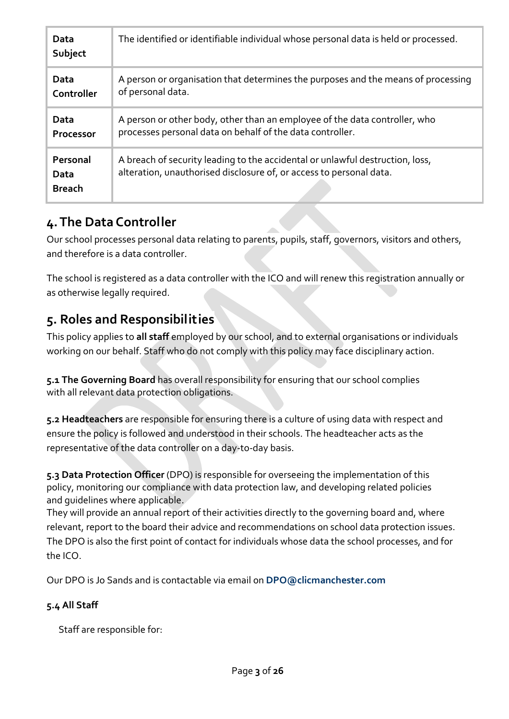| Data<br>Subject                   | The identified or identifiable individual whose personal data is held or processed.                                                                  |
|-----------------------------------|------------------------------------------------------------------------------------------------------------------------------------------------------|
| Data                              | A person or organisation that determines the purposes and the means of processing                                                                    |
| Controller                        | of personal data.                                                                                                                                    |
| Data                              | A person or other body, other than an employee of the data controller, who                                                                           |
| Processor                         | processes personal data on behalf of the data controller.                                                                                            |
| Personal<br>Data<br><b>Breach</b> | A breach of security leading to the accidental or unlawful destruction, loss,<br>alteration, unauthorised disclosure of, or access to personal data. |

## <span id="page-2-0"></span>**4. The Data Controller**

Our school processes personal data relating to parents, pupils, staff, governors, visitors and others, and therefore is a data controller.

The school is registered as a data controller with the ICO and will renew this registration annually or as otherwise legally required.

# <span id="page-2-1"></span>**5. Roles and Responsibilities**

This policy applies to **all staff** employed by our school, and to external organisations or individuals working on our behalf. Staff who do not comply with this policy may face disciplinary action.

**5.1 The Governing Board** has overall responsibility for ensuring that our school complies with all relevant data protection obligations.

**5.2 Headteachers** are responsible for ensuring there is a culture of using data with respect and ensure the policy is followed and understood in their schools. The headteacher acts as the representative of the data controller on a day-to-day basis.

**5.3 Data Protection Officer** (DPO) is responsible for overseeing the implementation of this policy, monitoring our compliance with data protection law, and developing related policies and guidelines where applicable.

They will provide an annual report of their activities directly to the governing board and, where relevant, report to the board their advice and recommendations on school data protection issues. The DPO is also the first point of contact for individuals whose data the school processes, and for the ICO.

Our DPO is Jo Sands and is contactable via email on **[DPO@clicmanchester.com](mailto:DPO@clicmanchester.com)**

## **5.4 All Staff**

Staff are responsible for: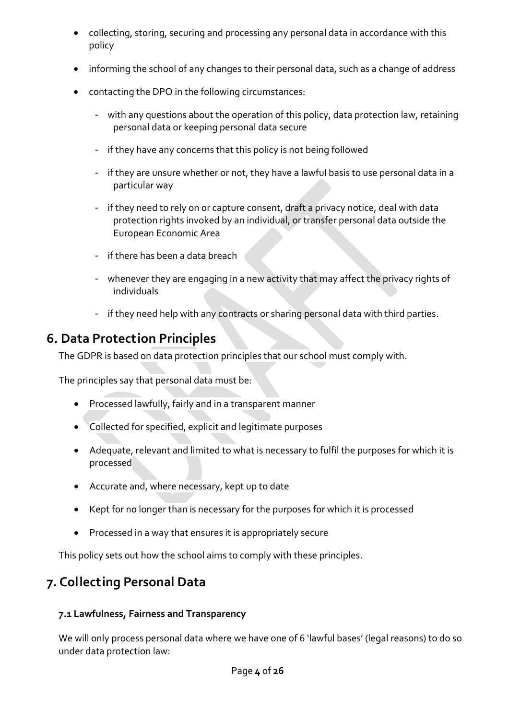- collecting, storing, securing and processing any personal data in accordance with this policy
- informing the school of any changes to their personal data, such as a change of address
- contacting the DPO in the following circumstances:
	- with any questions about the operation of this policy, data protection law, retaining personal data or keeping personal data secure
	- if they have any concerns that this policy is not being followed
	- if they are unsure whether or not, they have a lawful basis to use personal data in a particular way
	- if they need to rely on or capture consent, draft a privacy notice, deal with data protection rights invoked by an individual, or transfer personal data outside the European Economic Area
	- if there has been a data breach
	- whenever they are engaging in a new activity that may affect the privacy rights of individuals
	- if they need help with any contracts or sharing personal data with third parties.

# <span id="page-3-0"></span>**6. Data Protection Principles**

The GDPR is based on data protection principles that our school must comply with.

The principles say that personal data must be:

- Processed lawfully, fairly and in a transparent manner
- Collected for specified, explicit and legitimate purposes
- Adequate, relevant and limited to what is necessary to fulfil the purposes for which it is processed
- Accurate and, where necessary, kept up to date
- Kept for no longer than is necessary for the purposes for which it is processed
- Processed in a way that ensures it is appropriately secure

This policy sets out how the school aims to comply with these principles.

# <span id="page-3-1"></span>**7. Collecting Personal Data**

## **7.1 Lawfulness, Fairness and Transparency**

We will only process personal data where we have one of 6 'lawful bases' (legal reasons) to do so under data protection law: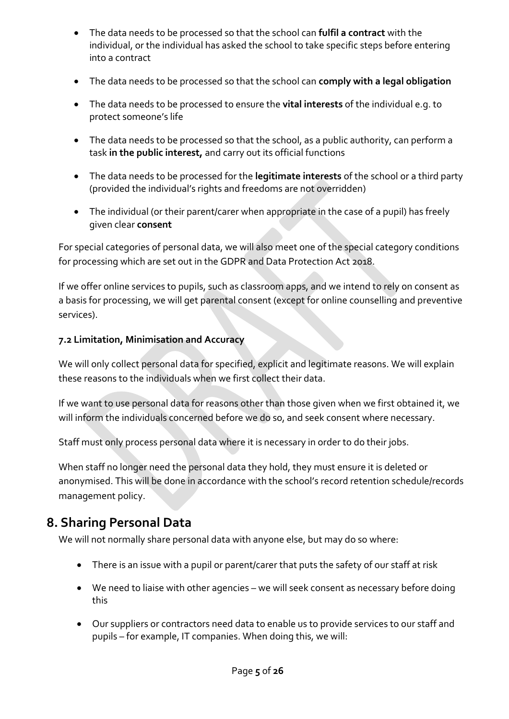- The data needs to be processed so that the school can **fulfil a contract** with the individual, or the individual has asked the school to take specific steps before entering into a contract
- The data needs to be processed so that the school can **comply with a legal obligation**
- The data needs to be processed to ensure the **vital interests** of the individual e.g. to protect someone's life
- The data needs to be processed so that the school, as a public authority, can perform a task **in the public interest,** and carry out its official functions
- The data needs to be processed for the **legitimate interests** of the school or a third party (provided the individual's rights and freedoms are not overridden)
- The individual (or their parent/carer when appropriate in the case of a pupil) has freely given clear **consent**

For special categories of personal data, we will also meet one of the special category conditions for processing which are set out in the GDPR and Data Protection Act 2018.

If we offer online services to pupils, such as classroom apps, and we intend to rely on consent as a basis for processing, we will get parental consent (except for online counselling and preventive services).

#### **7.2 Limitation, Minimisation and Accuracy**

We will only collect personal data for specified, explicit and legitimate reasons. We will explain these reasons to the individuals when we first collect their data.

If we want to use personal data for reasons other than those given when we first obtained it, we will inform the individuals concerned before we do so, and seek consent where necessary.

Staff must only process personal data where it is necessary in order to do their jobs.

When staff no longer need the personal data they hold, they must ensure it is deleted or anonymised. This will be done in accordance with the school's record retention schedule/records management policy.

## <span id="page-4-0"></span>**8. Sharing Personal Data**

We will not normally share personal data with anyone else, but may do so where:

- There is an issue with a pupil or parent/carer that puts the safety of our staff at risk
- We need to liaise with other agencies we will seek consent as necessary before doing this
- Our suppliers or contractors need data to enable us to provide services to our staff and pupils – for example, IT companies. When doing this, we will: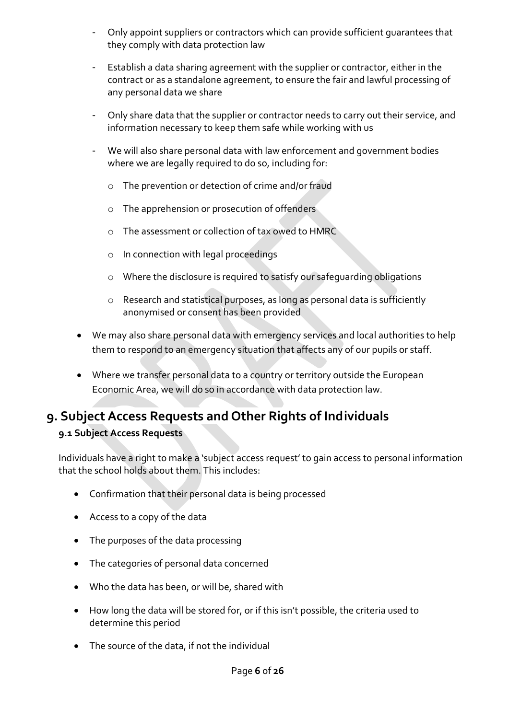- Only appoint suppliers or contractors which can provide sufficient guarantees that they comply with data protection law
- Establish a data sharing agreement with the supplier or contractor, either in the contract or as a standalone agreement, to ensure the fair and lawful processing of any personal data we share
- Only share data that the supplier or contractor needs to carry out their service, and information necessary to keep them safe while working with us
- We will also share personal data with law enforcement and government bodies where we are legally required to do so, including for:
	- o The prevention or detection of crime and/or fraud
	- o The apprehension or prosecution of offenders
	- o The assessment or collection of tax owed to HMRC
	- o In connection with legal proceedings
	- o Where the disclosure is required to satisfy our safeguarding obligations
	- o Research and statistical purposes, as long as personal data is sufficiently anonymised or consent has been provided
- We may also share personal data with emergency services and local authorities to help them to respond to an emergency situation that affects any of our pupils or staff.
- Where we transfer personal data to a country or territory outside the European Economic Area, we will do so in accordance with data protection law.

## <span id="page-5-0"></span>**9. Subject Access Requests and Other Rights of Individuals**

#### **9.1 Subject Access Requests**

Individuals have a right to make a 'subject access request' to gain access to personal information that the school holds about them. This includes:

- Confirmation that their personal data is being processed
- Access to a copy of the data
- The purposes of the data processing
- The categories of personal data concerned
- Who the data has been, or will be, shared with
- How long the data will be stored for, or if this isn't possible, the criteria used to determine this period
- The source of the data, if not the individual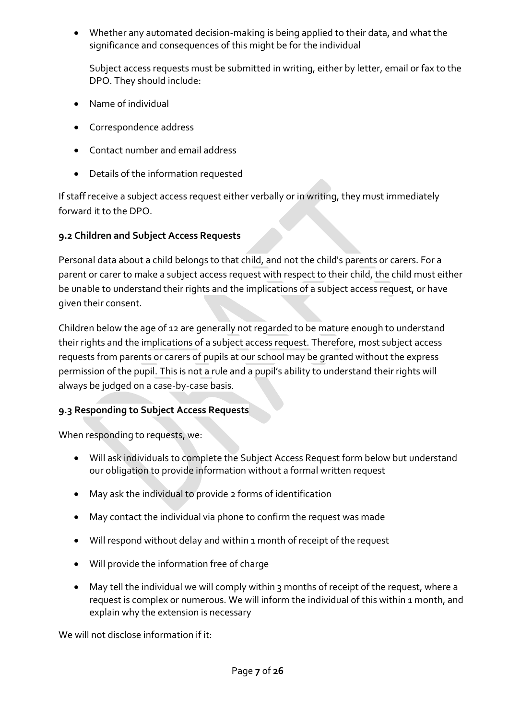Whether any automated decision-making is being applied to their data, and what the significance and consequences of this might be for the individual

Subject access requests must be submitted in writing, either by letter, email or fax to the DPO. They should include:

- Name of individual
- Correspondence address
- Contact number and email address
- Details of the information requested

If staff receive a subject access request either verbally or in writing, they must immediately forward it to the DPO.

### **9.2 Children and Subject Access Requests**

Personal data about a child belongs to that child, and not the child's parents or carers. For a parent or carer to make a subject access request with respect to their child, the child must either be unable to understand their rights and the implications of a subject access request, or have given their consent.

Children below the age of 12 are generally not regarded to be mature enough to understand their rights and the implications of a subject access request. Therefore, most subject access requests from parents or carers of pupils at our school may be granted without the express permission of the pupil. This is not a rule and a pupil's ability to understand their rights will always be judged on a case-by-case basis.

### **9.3 Responding to Subject Access Requests**

When responding to requests, we:

- Will ask individuals to complete the Subject Access Request form below but understand our obligation to provide information without a formal written request
- May ask the individual to provide 2 forms of identification
- May contact the individual via phone to confirm the request was made
- Will respond without delay and within 1 month of receipt of the request
- Will provide the information free of charge
- May tell the individual we will comply within 3 months of receipt of the request, where a request is complex or numerous. We will inform the individual of this within 1 month, and explain why the extension is necessary

We will not disclose information if it: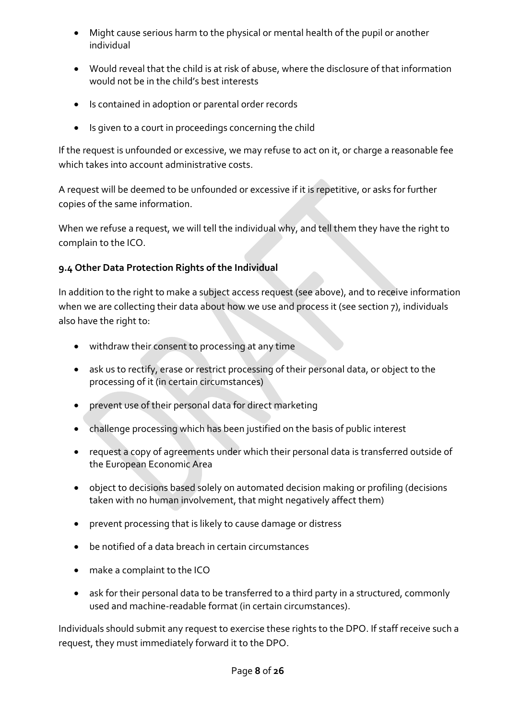- Might cause serious harm to the physical or mental health of the pupil or another individual
- Would reveal that the child is at risk of abuse, where the disclosure of that information would not be in the child's best interests
- Is contained in adoption or parental order records
- Is given to a court in proceedings concerning the child

If the request is unfounded or excessive, we may refuse to act on it, or charge a reasonable fee which takes into account administrative costs.

A request will be deemed to be unfounded or excessive if it is repetitive, or asks for further copies of the same information.

When we refuse a request, we will tell the individual why, and tell them they have the right to complain to the ICO.

#### **9.4 Other Data Protection Rights of the Individual**

In addition to the right to make a subject access request (see above), and to receive information when we are collecting their data about how we use and process it (see section 7), individuals also have the right to:

- withdraw their consent to processing at any time
- ask us to rectify, erase or restrict processing of their personal data, or object to the processing of it (in certain circumstances)
- prevent use of their personal data for direct marketing
- challenge processing which has been justified on the basis of public interest
- request a copy of agreements under which their personal data is transferred outside of the European Economic Area
- object to decisions based solely on automated decision making or profiling (decisions taken with no human involvement, that might negatively affect them)
- prevent processing that is likely to cause damage or distress
- be notified of a data breach in certain circumstances
- make a complaint to the ICO
- ask for their personal data to be transferred to a third party in a structured, commonly used and machine-readable format (in certain circumstances).

Individuals should submit any request to exercise these rights to the DPO. If staff receive such a request, they must immediately forward it to the DPO.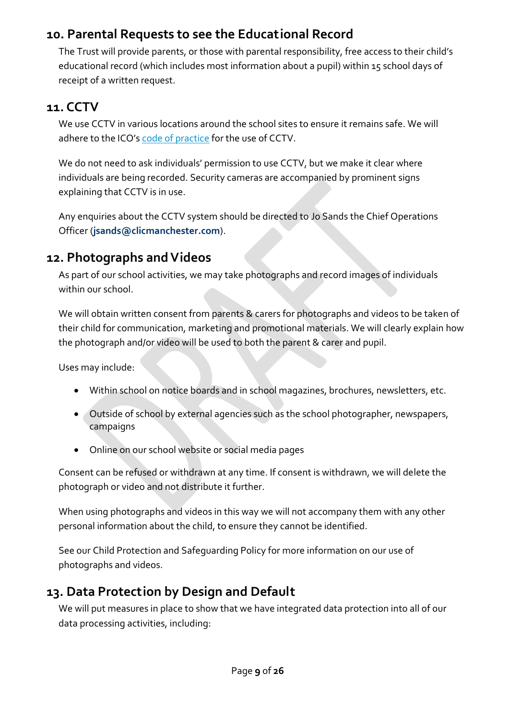## <span id="page-8-0"></span>**10. Parental Requests to see the Educational Record**

The Trust will provide parents, or those with parental responsibility, free access to their child's educational record (which includes most information about a pupil) within 15 school days of receipt of a written request.

## <span id="page-8-1"></span>**11. CCTV**

We use CCTV in various locations around the school sites to ensure it remains safe. We will adhere to the ICO's [code of practice](https://ico.org.uk/media/for-organisations/documents/1542/cctv-code-of-practice.pdf) for the use of CCTV.

We do not need to ask individuals' permission to use CCTV, but we make it clear where individuals are being recorded. Security cameras are accompanied by prominent signs explaining that CCTV is in use.

Any enquiries about the CCTV system should be directed to Jo Sands the Chief Operations Officer (**[jsands@clicmanchester.com](mailto:jsands@clicmanchester.com)**).

## <span id="page-8-2"></span>**12. Photographs and Videos**

As part of our school activities, we may take photographs and record images of individuals within our school.

We will obtain written consent from parents & carers for photographs and videos to be taken of their child for communication, marketing and promotional materials. We will clearly explain how the photograph and/or video will be used to both the parent & carer and pupil.

Uses may include:

- Within school on notice boards and in school magazines, brochures, newsletters, etc.
- Outside of school by external agencies such as the school photographer, newspapers, campaigns
- Online on our school website or social media pages

Consent can be refused or withdrawn at any time. If consent is withdrawn, we will delete the photograph or video and not distribute it further.

When using photographs and videos in this way we will not accompany them with any other personal information about the child, to ensure they cannot be identified.

See our Child Protection and Safeguarding Policy for more information on our use of photographs and videos.

## <span id="page-8-3"></span>**13. Data Protection by Design and Default**

We will put measures in place to show that we have integrated data protection into all of our data processing activities, including: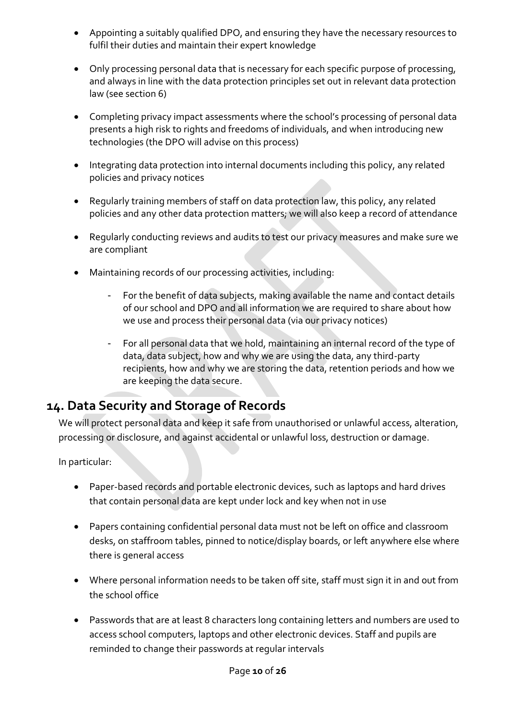- Appointing a suitably qualified DPO, and ensuring they have the necessary resources to fulfil their duties and maintain their expert knowledge
- Only processing personal data that is necessary for each specific purpose of processing, and always in line with the data protection principles set out in relevant data protection law (see section 6)
- Completing privacy impact assessments where the school's processing of personal data presents a high risk to rights and freedoms of individuals, and when introducing new technologies (the DPO will advise on this process)
- Integrating data protection into internal documents including this policy, any related policies and privacy notices
- Regularly training members of staff on data protection law, this policy, any related policies and any other data protection matters; we will also keep a record of attendance
- Regularly conducting reviews and audits to test our privacy measures and make sure we are compliant
- Maintaining records of our processing activities, including:
	- For the benefit of data subjects, making available the name and contact details of our school and DPO and all information we are required to share about how we use and process their personal data (via our privacy notices)
	- For all personal data that we hold, maintaining an internal record of the type of data, data subject, how and why we are using the data, any third-party recipients, how and why we are storing the data, retention periods and how we are keeping the data secure.

## <span id="page-9-0"></span>**14. Data Security and Storage of Records**

We will protect personal data and keep it safe from unauthorised or unlawful access, alteration, processing or disclosure, and against accidental or unlawful loss, destruction or damage.

In particular:

- Paper-based records and portable electronic devices, such as laptops and hard drives that contain personal data are kept under lock and key when not in use
- Papers containing confidential personal data must not be left on office and classroom desks, on staffroom tables, pinned to notice/display boards, or left anywhere else where there is general access
- Where personal information needs to be taken off site, staff must sign it in and out from the school office
- Passwords that are at least 8 characters long containing letters and numbers are used to access school computers, laptops and other electronic devices. Staff and pupils are reminded to change their passwords at regular intervals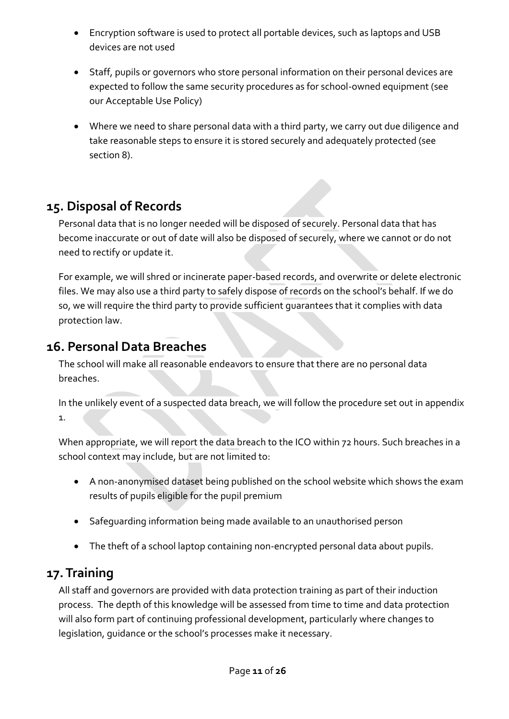- Encryption software is used to protect all portable devices, such as laptops and USB devices are not used
- Staff, pupils or governors who store personal information on their personal devices are expected to follow the same security procedures as for school-owned equipment (see our Acceptable Use Policy)
- Where we need to share personal data with a third party, we carry out due diligence and take reasonable steps to ensure it is stored securely and adequately protected (see section 8).

# <span id="page-10-0"></span>**15. Disposal of Records**

Personal data that is no longer needed will be disposed of securely. Personal data that has become inaccurate or out of date will also be disposed of securely, where we cannot or do not need to rectify or update it.

For example, we will shred or incinerate paper-based records, and overwrite or delete electronic files. We may also use a third party to safely dispose of records on the school's behalf. If we do so, we will require the third party to provide sufficient guarantees that it complies with data protection law.

## <span id="page-10-1"></span>**16. Personal Data Breaches**

The school will make all reasonable endeavors to ensure that there are no personal data breaches.

In the unlikely event of a suspected data breach, we will follow the procedure set out in appendix 1.

When appropriate, we will report the data breach to the ICO within 72 hours. Such breaches in a school context may include, but are not limited to:

- A non-anonymised dataset being published on the school website which shows the exam results of pupils eligible for the pupil premium
- Safeguarding information being made available to an unauthorised person
- The theft of a school laptop containing non-encrypted personal data about pupils.

## <span id="page-10-2"></span>**17. Training**

All staff and governors are provided with data protection training as part of their induction process. The depth of this knowledge will be assessed from time to time and data protection will also form part of continuing professional development, particularly where changes to legislation, guidance or the school's processes make it necessary.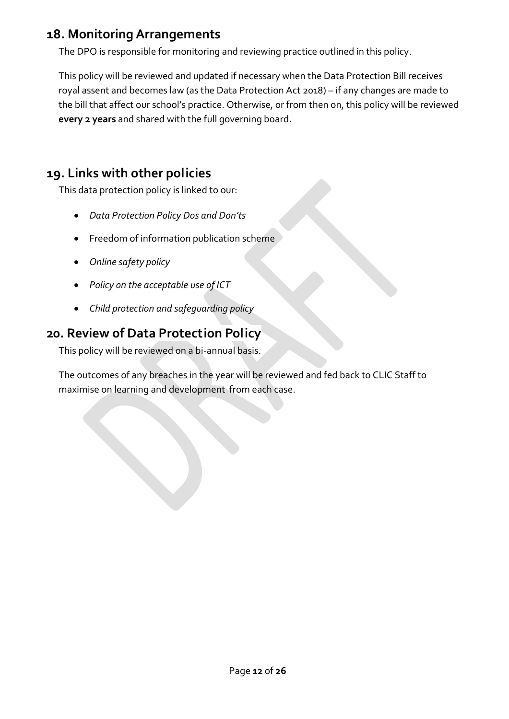## <span id="page-11-0"></span>**18. Monitoring Arrangements**

The DPO is responsible for monitoring and reviewing practice outlined in this policy.

This policy will be reviewed and updated if necessary when the Data Protection Bill receives royal assent and becomes law (as the Data Protection Act 2018) – if any changes are made to the bill that affect our school's practice. Otherwise, or from then on, this policy will be reviewed **every 2 years** and shared with the full governing board.

## <span id="page-11-1"></span>**19. Links with other policies**

This data protection policy is linked to our:

- *Data Protection Policy Dos and Don'ts*
- **•** Freedom of information publication scheme
- *Online safety policy*
- *Policy on the acceptable use of ICT*
- *Child protection and safeguarding policy*

## <span id="page-11-2"></span>**20. Review of Data Protection Policy**

This policy will be reviewed on a bi-annual basis.

The outcomes of any breaches in the year will be reviewed and fed back to CLIC Staff to maximise on learning and development from each case.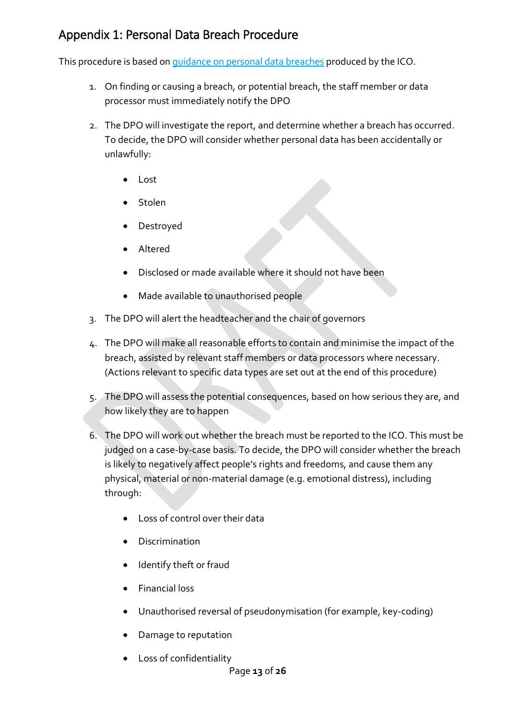## Appendix 1: Personal Data Breach Procedure

This procedure is based on [guidance on personal data breaches](https://ico.org.uk/for-organisations/guide-to-the-general-data-protection-regulation-gdpr/personal-data-breaches/) produced by the ICO.

- 1. On finding or causing a breach, or potential breach, the staff member or data processor must immediately notify the DPO
- 2. The DPO will investigate the report, and determine whether a breach has occurred. To decide, the DPO will consider whether personal data has been accidentally or unlawfully:
	- Lost
	- Stolen
	- Destroyed
	- Altered
	- Disclosed or made available where it should not have been
	- Made available to unauthorised people
- 3. The DPO will alert the headteacher and the chair of governors
- 4. The DPO will make all reasonable efforts to contain and minimise the impact of the breach, assisted by relevant staff members or data processors where necessary. (Actions relevant to specific data types are set out at the end of this procedure)
- 5. The DPO will assess the potential consequences, based on how serious they are, and how likely they are to happen
- 6. The DPO will work out whether the breach must be reported to the ICO. This must be judged on a case-by-case basis. To decide, the DPO will consider whether the breach is likely to negatively affect people's rights and freedoms, and cause them any physical, material or non-material damage (e.g. emotional distress), including through:
	- Loss of control over their data
	- **•** Discrimination
	- Identify theft or fraud
	- Financial loss
	- Unauthorised reversal of pseudonymisation (for example, key-coding)
	- Damage to reputation
	- Loss of confidentiality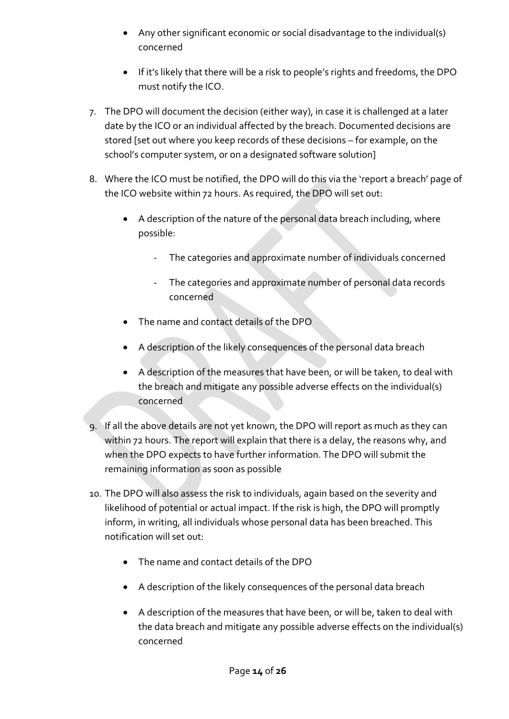- Any other significant economic or social disadvantage to the individual(s) concerned
- If it's likely that there will be a risk to people's rights and freedoms, the DPO must notify the ICO.
- 7. The DPO will document the decision (either way), in case it is challenged at a later date by the ICO or an individual affected by the breach. Documented decisions are stored [set out where you keep records of these decisions – for example, on the school's computer system, or on a designated software solution]
- 8. Where the ICO must be notified, the DPO will do this via the ['report a breach' page of](https://ico.org.uk/for-organisations/report-a-breach/)  [the ICO website](https://ico.org.uk/for-organisations/report-a-breach/) within 72 hours. As required, the DPO will set out:
	- A description of the nature of the personal data breach including, where possible:
		- The categories and approximate number of individuals concerned
		- The categories and approximate number of personal data records concerned
	- The name and contact details of the DPO
	- A description of the likely consequences of the personal data breach
	- A description of the measures that have been, or will be taken, to deal with the breach and mitigate any possible adverse effects on the individual(s) concerned
- 9. If all the above details are not yet known, the DPO will report as much as they can within 72 hours. The report will explain that there is a delay, the reasons why, and when the DPO expects to have further information. The DPO will submit the remaining information as soon as possible
- 10. The DPO will also assess the risk to individuals, again based on the severity and likelihood of potential or actual impact. If the risk is high, the DPO will promptly inform, in writing, all individuals whose personal data has been breached. This notification will set out:
	- The name and contact details of the DPO
	- A description of the likely consequences of the personal data breach
	- A description of the measures that have been, or will be, taken to deal with the data breach and mitigate any possible adverse effects on the individual(s) concerned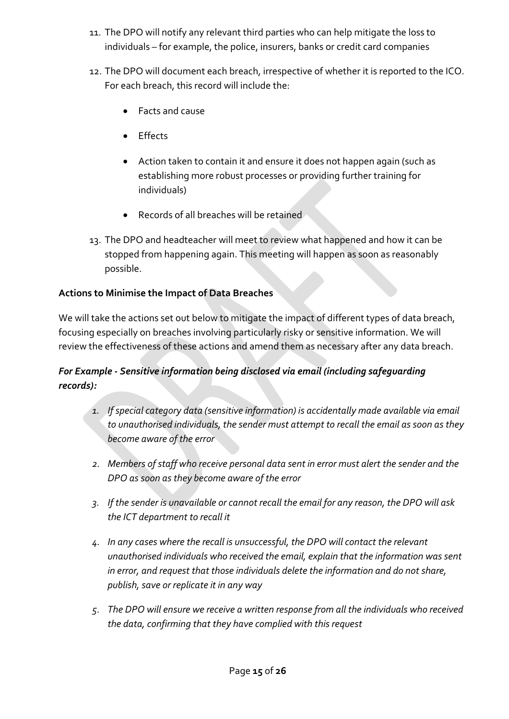- 11. The DPO will notify any relevant third parties who can help mitigate the loss to individuals – for example, the police, insurers, banks or credit card companies
- 12. The DPO will document each breach, irrespective of whether it is reported to the ICO. For each breach, this record will include the:
	- Facts and cause
	- Effects
	- Action taken to contain it and ensure it does not happen again (such as establishing more robust processes or providing further training for individuals)
	- Records of all breaches will be retained
- 13. The DPO and headteacher will meet to review what happened and how it can be stopped from happening again. This meeting will happen as soon as reasonably possible.

## **Actions to Minimise the Impact of Data Breaches**

We will take the actions set out below to mitigate the impact of different types of data breach, focusing especially on breaches involving particularly risky or sensitive information. We will review the effectiveness of these actions and amend them as necessary after any data breach.

## *For Example - Sensitive information being disclosed via email (including safeguarding records):*

- *1. If special category data (sensitive information) is accidentally made available via email to unauthorised individuals, the sender must attempt to recall the email as soon as they become aware of the error*
- *2. Members of staff who receive personal data sent in error must alert the sender and the DPO as soon as they become aware of the error*
- *3. If the sender is unavailable or cannot recall the email for any reason, the DPO will ask the ICT department to recall it*
- *4. In any cases where the recall is unsuccessful, the DPO will contact the relevant unauthorised individuals who received the email, explain that the information was sent in error, and request that those individuals delete the information and do not share, publish, save or replicate it in any way*
- *5. The DPO will ensure we receive a written response from all the individuals who received the data, confirming that they have complied with this request*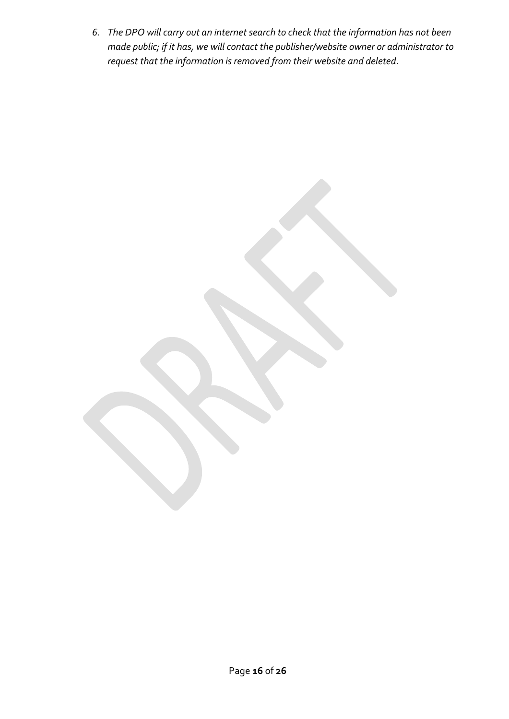*6. The DPO will carry out an internet search to check that the information has not been made public; if it has, we will contact the publisher/website owner or administrator to request that the information is removed from their website and deleted.*

Page **16** of **26**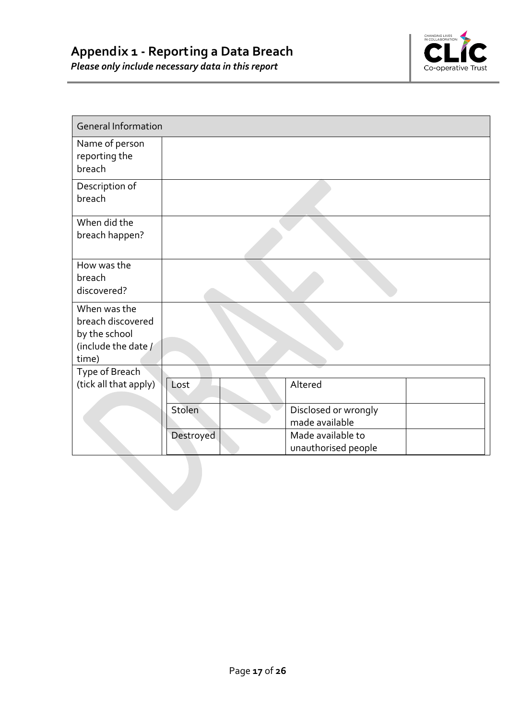

<span id="page-16-0"></span>

| <b>General Information</b>                                                         |               |                                          |  |
|------------------------------------------------------------------------------------|---------------|------------------------------------------|--|
| Name of person<br>reporting the<br>breach                                          |               |                                          |  |
| Description of<br>breach                                                           |               |                                          |  |
| When did the<br>breach happen?                                                     |               |                                          |  |
| How was the<br>breach<br>discovered?                                               |               |                                          |  |
| When was the<br>breach discovered<br>by the school<br>(include the date /<br>time) |               |                                          |  |
| Type of Breach<br>(tick all that apply)                                            | Lost          | Altered                                  |  |
|                                                                                    | <b>Stolen</b> | Disclosed or wrongly<br>made available   |  |
|                                                                                    | Destroyed     | Made available to<br>unauthorised people |  |
|                                                                                    |               |                                          |  |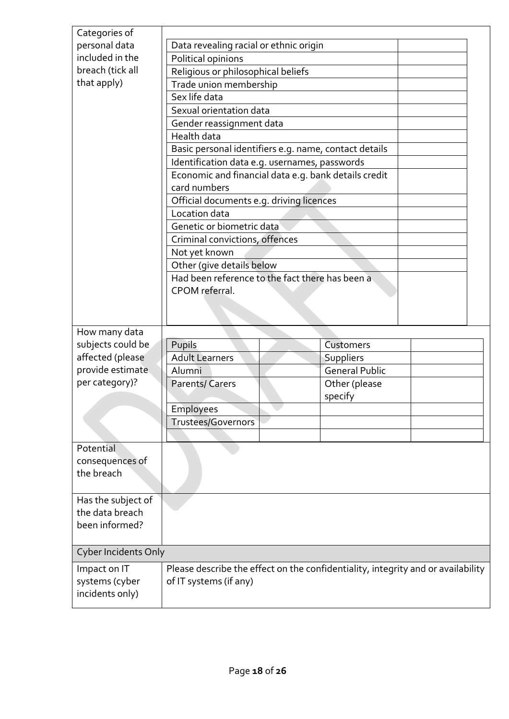| Categories of               |                                                                                                        |                |  |  |
|-----------------------------|--------------------------------------------------------------------------------------------------------|----------------|--|--|
| personal data               | Data revealing racial or ethnic origin                                                                 |                |  |  |
| included in the             | Political opinions                                                                                     |                |  |  |
| breach (tick all            | Religious or philosophical beliefs                                                                     |                |  |  |
| that apply)                 | Trade union membership                                                                                 |                |  |  |
|                             | Sex life data                                                                                          |                |  |  |
|                             | Sexual orientation data                                                                                |                |  |  |
|                             | Gender reassignment data                                                                               |                |  |  |
|                             | Health data                                                                                            |                |  |  |
|                             |                                                                                                        |                |  |  |
|                             | Basic personal identifiers e.g. name, contact details<br>Identification data e.g. usernames, passwords |                |  |  |
|                             | Economic and financial data e.g. bank details credit                                                   |                |  |  |
|                             | card numbers                                                                                           |                |  |  |
|                             | Official documents e.g. driving licences                                                               |                |  |  |
|                             | Location data                                                                                          |                |  |  |
|                             | Genetic or biometric data                                                                              |                |  |  |
|                             | Criminal convictions, offences                                                                         |                |  |  |
|                             | Not yet known                                                                                          |                |  |  |
|                             | Other (give details below                                                                              |                |  |  |
|                             | Had been reference to the fact there has been a                                                        |                |  |  |
|                             | CPOM referral.                                                                                         |                |  |  |
|                             |                                                                                                        |                |  |  |
|                             |                                                                                                        |                |  |  |
| How many data               |                                                                                                        |                |  |  |
| subjects could be           | Pupils                                                                                                 | Customers      |  |  |
| affected (please            | <b>Adult Learners</b>                                                                                  | Suppliers      |  |  |
| provide estimate            | Alumni                                                                                                 | General Public |  |  |
| per category)?              | <b>Parents/Carers</b>                                                                                  | Other (please  |  |  |
|                             |                                                                                                        | specify        |  |  |
|                             | <b>Employees</b>                                                                                       |                |  |  |
|                             | Trustees/Governors                                                                                     |                |  |  |
|                             |                                                                                                        |                |  |  |
| Potential                   |                                                                                                        |                |  |  |
| consequences of             |                                                                                                        |                |  |  |
| the breach                  |                                                                                                        |                |  |  |
|                             |                                                                                                        |                |  |  |
| Has the subject of          |                                                                                                        |                |  |  |
| the data breach             |                                                                                                        |                |  |  |
| been informed?              |                                                                                                        |                |  |  |
|                             |                                                                                                        |                |  |  |
| <b>Cyber Incidents Only</b> |                                                                                                        |                |  |  |
| Impact on IT                | Please describe the effect on the confidentiality, integrity and or availability                       |                |  |  |
| systems (cyber              | of IT systems (if any)                                                                                 |                |  |  |
| incidents only)             |                                                                                                        |                |  |  |
|                             |                                                                                                        |                |  |  |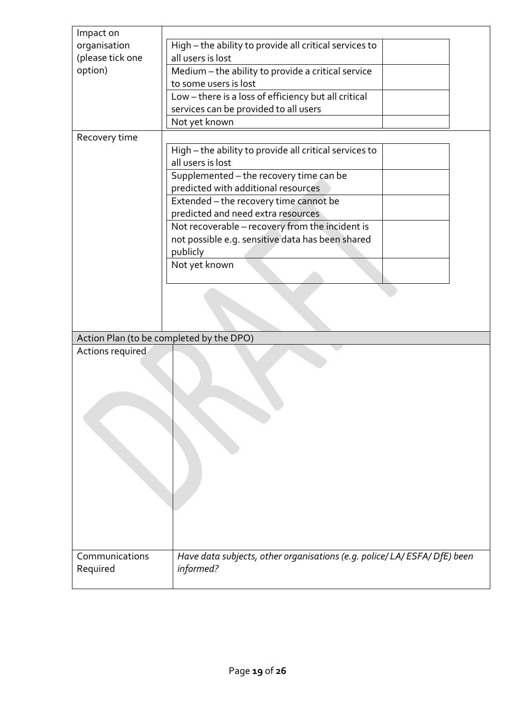| Impact on                  |                                                                                        |  |  |
|----------------------------|----------------------------------------------------------------------------------------|--|--|
| organisation               | High - the ability to provide all critical services to                                 |  |  |
| (please tick one           | all users is lost                                                                      |  |  |
| option)                    | Medium - the ability to provide a critical service                                     |  |  |
|                            | to some users is lost                                                                  |  |  |
|                            | Low - there is a loss of efficiency but all critical                                   |  |  |
|                            | services can be provided to all users                                                  |  |  |
|                            | Not yet known                                                                          |  |  |
|                            |                                                                                        |  |  |
| Recovery time              |                                                                                        |  |  |
|                            | High - the ability to provide all critical services to<br>all users is lost            |  |  |
|                            |                                                                                        |  |  |
|                            | Supplemented - the recovery time can be                                                |  |  |
|                            | predicted with additional resources                                                    |  |  |
|                            | Extended - the recovery time cannot be                                                 |  |  |
|                            | predicted and need extra resources                                                     |  |  |
|                            | Not recoverable - recovery from the incident is                                        |  |  |
|                            | not possible e.g. sensitive data has been shared                                       |  |  |
|                            | publicly                                                                               |  |  |
|                            | Not yet known                                                                          |  |  |
|                            |                                                                                        |  |  |
|                            |                                                                                        |  |  |
|                            |                                                                                        |  |  |
|                            |                                                                                        |  |  |
|                            |                                                                                        |  |  |
|                            |                                                                                        |  |  |
|                            | Action Plan (to be completed by the DPO)                                               |  |  |
| Actions required           |                                                                                        |  |  |
|                            |                                                                                        |  |  |
|                            |                                                                                        |  |  |
|                            |                                                                                        |  |  |
|                            |                                                                                        |  |  |
|                            |                                                                                        |  |  |
|                            |                                                                                        |  |  |
|                            |                                                                                        |  |  |
|                            |                                                                                        |  |  |
|                            |                                                                                        |  |  |
|                            |                                                                                        |  |  |
|                            |                                                                                        |  |  |
|                            |                                                                                        |  |  |
|                            |                                                                                        |  |  |
|                            |                                                                                        |  |  |
|                            |                                                                                        |  |  |
|                            |                                                                                        |  |  |
| Communications<br>Required | Have data subjects, other organisations (e.g. police/ LA/ ESFA/ DfE) been<br>informed? |  |  |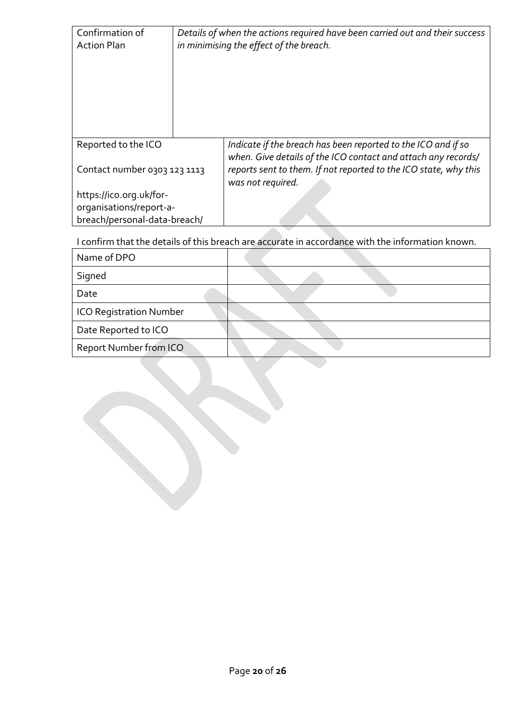| Confirmation of<br><b>Action Plan</b>                                              |  | Details of when the actions required have been carried out and their success<br>in minimising the effect of the breach.                                                                                                 |
|------------------------------------------------------------------------------------|--|-------------------------------------------------------------------------------------------------------------------------------------------------------------------------------------------------------------------------|
| Reported to the ICO<br>Contact number 0303 123 1113                                |  | Indicate if the breach has been reported to the ICO and if so<br>when. Give details of the ICO contact and attach any records/<br>reports sent to them. If not reported to the ICO state, why this<br>was not required. |
| https://ico.org.uk/for-<br>organisations/report-a-<br>breach/personal-data-breach/ |  |                                                                                                                                                                                                                         |

I confirm that the details of this breach are accurate in accordance with the information known.

| Name of DPO                    |  |
|--------------------------------|--|
| Signed                         |  |
| Date                           |  |
| <b>ICO Registration Number</b> |  |
| Date Reported to ICO           |  |
| Report Number from ICO         |  |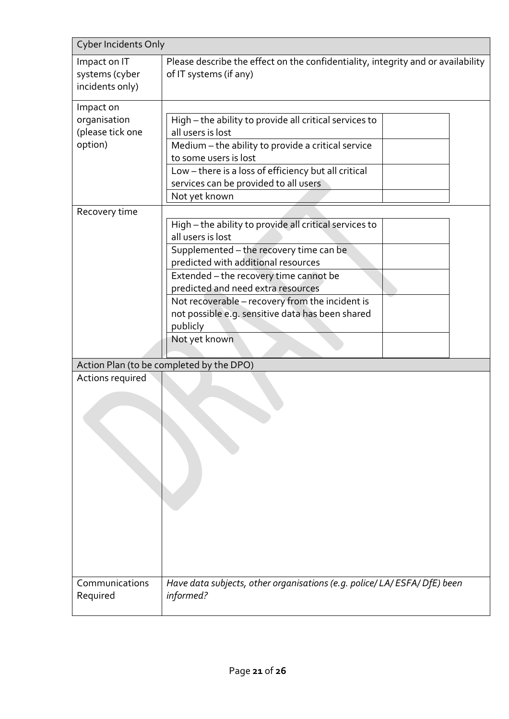| <b>Cyber Incidents Only</b>                              |                                                                                                                                                                                                                                                                                                                                                                                   |
|----------------------------------------------------------|-----------------------------------------------------------------------------------------------------------------------------------------------------------------------------------------------------------------------------------------------------------------------------------------------------------------------------------------------------------------------------------|
| Impact on IT<br>systems (cyber<br>incidents only)        | Please describe the effect on the confidentiality, integrity and or availability<br>of IT systems (if any)                                                                                                                                                                                                                                                                        |
| Impact on<br>organisation<br>(please tick one<br>option) | High - the ability to provide all critical services to<br>all users is lost<br>Medium - the ability to provide a critical service<br>to some users is lost<br>Low - there is a loss of efficiency but all critical<br>services can be provided to all users<br>Not yet known                                                                                                      |
| Recovery time                                            | High - the ability to provide all critical services to<br>all users is lost<br>Supplemented - the recovery time can be<br>predicted with additional resources<br>Extended - the recovery time cannot be<br>predicted and need extra resources<br>Not recoverable - recovery from the incident is<br>not possible e.g. sensitive data has been shared<br>publicly<br>Not yet known |
| Actions required                                         | Action Plan (to be completed by the DPO)                                                                                                                                                                                                                                                                                                                                          |
| Communications<br>Required                               | Have data subjects, other organisations (e.g. police/ LA/ESFA/DfE) been<br>informed?                                                                                                                                                                                                                                                                                              |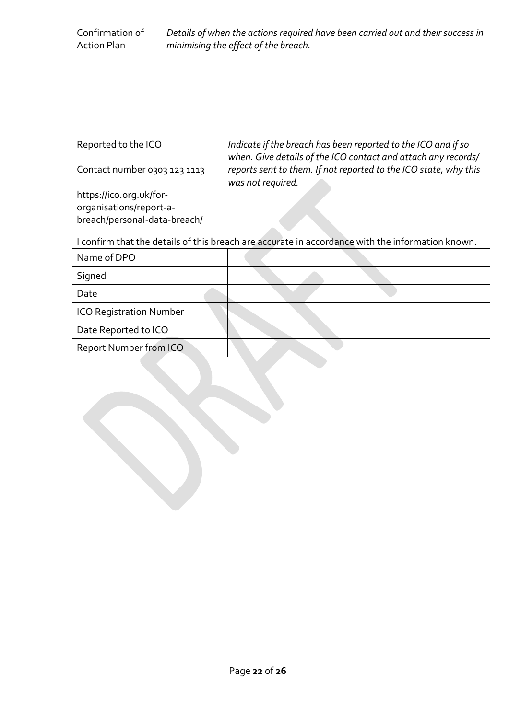| Confirmation of<br><b>Action Plan</b>               |  | Details of when the actions required have been carried out and their success in<br>minimising the effect of the breach.                                                                                                 |
|-----------------------------------------------------|--|-------------------------------------------------------------------------------------------------------------------------------------------------------------------------------------------------------------------------|
| Reported to the ICO<br>Contact number 0303 123 1113 |  | Indicate if the breach has been reported to the ICO and if so<br>when. Give details of the ICO contact and attach any records/<br>reports sent to them. If not reported to the ICO state, why this<br>was not required. |
| https://ico.org.uk/for-                             |  |                                                                                                                                                                                                                         |
| organisations/report-a-                             |  |                                                                                                                                                                                                                         |
| breach/personal-data-breach/                        |  |                                                                                                                                                                                                                         |

I confirm that the details of this breach are accurate in accordance with the information known.

| Name of DPO                    |  |
|--------------------------------|--|
| Signed                         |  |
| Date                           |  |
| <b>ICO Registration Number</b> |  |
| Date Reported to ICO           |  |
| Report Number from ICO         |  |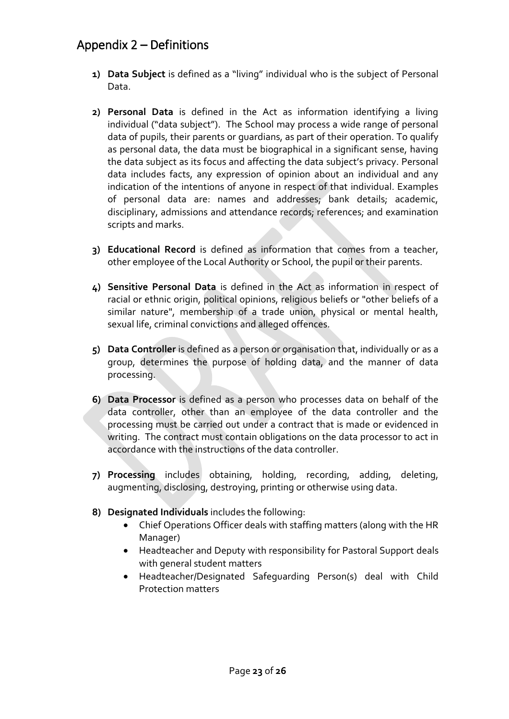## <span id="page-22-0"></span>Appendix 2 – Definitions

- **1) Data Subject** is defined as a "living" individual who is the subject of Personal Data.
- **2) Personal Data** is defined in the Act as information identifying a living individual ("data subject"). The School may process a wide range of personal data of pupils, their parents or guardians, as part of their operation. To qualify as personal data, the data must be biographical in a significant sense, having the data subject as its focus and affecting the data subject's privacy. Personal data includes facts, any expression of opinion about an individual and any indication of the intentions of anyone in respect of that individual. Examples of personal data are: names and addresses; bank details; academic, disciplinary, admissions and attendance records; references; and examination scripts and marks.
- **3) Educational Record** is defined as information that comes from a teacher, other employee of the Local Authority or School, the pupil or their parents.
- **4) Sensitive Personal Data** is defined in the Act as information in respect of racial or ethnic origin, political opinions, religious beliefs or "other beliefs of a similar nature", membership of a trade union, physical or mental health, sexual life, criminal convictions and alleged offences.
- **5) Data Controller** is defined as a person or organisation that, individually or as a group, determines the purpose of holding data, and the manner of data processing.
- **6) Data Processor** is defined as a person who processes data on behalf of the data controller, other than an employee of the data controller and the processing must be carried out under a contract that is made or evidenced in writing. The contract must contain obligations on the data processor to act in accordance with the instructions of the data controller.
- **7) Processing** includes obtaining, holding, recording, adding, deleting, augmenting, disclosing, destroying, printing or otherwise using data.
- **8) Designated Individuals** includes the following:
	- Chief Operations Officer deals with staffing matters (along with the HR Manager)
	- Headteacher and Deputy with responsibility for Pastoral Support deals with general student matters
	- Headteacher/Designated Safeguarding Person(s) deal with Child Protection matters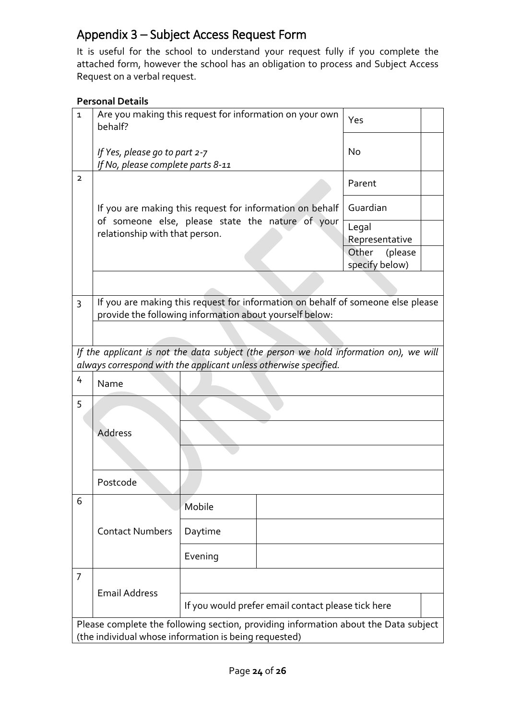## <span id="page-23-0"></span>Appendix 3 – Subject Access Request Form

It is useful for the school to understand your request fully if you complete the attached form, however the school has an obligation to process and Subject Access Request on a verbal request.

#### **Personal Details**

| 1                                                                                                                                               | Are you making this request for information on your own<br>behalf?                                                                                        | Yes                                                |        |  |  |  |  |  |  |  |
|-------------------------------------------------------------------------------------------------------------------------------------------------|-----------------------------------------------------------------------------------------------------------------------------------------------------------|----------------------------------------------------|--------|--|--|--|--|--|--|--|
|                                                                                                                                                 | If Yes, please go to part 2-7<br>If No, please complete parts 8-11                                                                                        | No                                                 |        |  |  |  |  |  |  |  |
| $\overline{2}$                                                                                                                                  |                                                                                                                                                           |                                                    | Parent |  |  |  |  |  |  |  |
|                                                                                                                                                 | If you are making this request for information on behalf<br>of someone else, please state the nature of your                                              | Guardian                                           |        |  |  |  |  |  |  |  |
|                                                                                                                                                 | relationship with that person.                                                                                                                            | Legal<br>Representative                            |        |  |  |  |  |  |  |  |
|                                                                                                                                                 |                                                                                                                                                           | Other<br>(please<br>specify below)                 |        |  |  |  |  |  |  |  |
|                                                                                                                                                 |                                                                                                                                                           |                                                    |        |  |  |  |  |  |  |  |
| If you are making this request for information on behalf of someone else please<br>3<br>provide the following information about yourself below: |                                                                                                                                                           |                                                    |        |  |  |  |  |  |  |  |
|                                                                                                                                                 |                                                                                                                                                           |                                                    |        |  |  |  |  |  |  |  |
|                                                                                                                                                 | If the applicant is not the data subject (the person we hold information on), we will<br>always correspond with the applicant unless otherwise specified. |                                                    |        |  |  |  |  |  |  |  |
| 4                                                                                                                                               | Name                                                                                                                                                      |                                                    |        |  |  |  |  |  |  |  |
| 5                                                                                                                                               |                                                                                                                                                           |                                                    |        |  |  |  |  |  |  |  |
|                                                                                                                                                 | Address                                                                                                                                                   |                                                    |        |  |  |  |  |  |  |  |
|                                                                                                                                                 |                                                                                                                                                           |                                                    |        |  |  |  |  |  |  |  |
|                                                                                                                                                 | Postcode                                                                                                                                                  |                                                    |        |  |  |  |  |  |  |  |
| 6                                                                                                                                               | <b>Contact Numbers</b>                                                                                                                                    | Mobile                                             |        |  |  |  |  |  |  |  |
|                                                                                                                                                 |                                                                                                                                                           | Daytime                                            |        |  |  |  |  |  |  |  |
|                                                                                                                                                 |                                                                                                                                                           | Evening                                            |        |  |  |  |  |  |  |  |
| 7                                                                                                                                               | <b>Email Address</b>                                                                                                                                      |                                                    |        |  |  |  |  |  |  |  |
|                                                                                                                                                 |                                                                                                                                                           | If you would prefer email contact please tick here |        |  |  |  |  |  |  |  |
|                                                                                                                                                 | Please complete the following section, providing information about the Data subject<br>(the individual whose information is being requested)              |                                                    |        |  |  |  |  |  |  |  |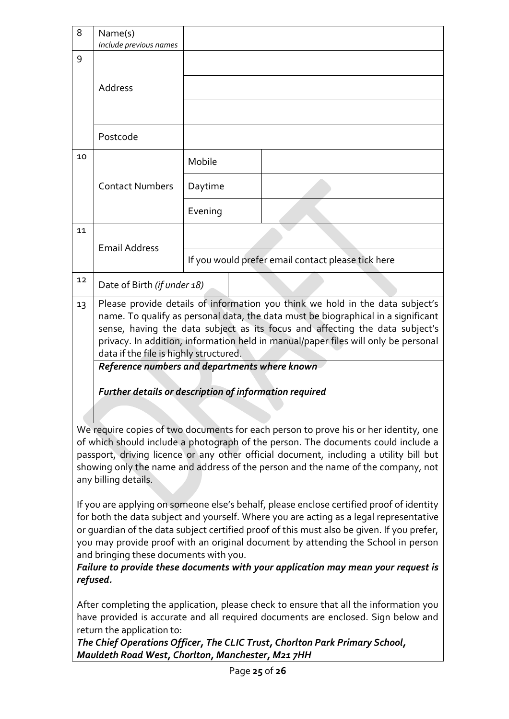| 8  | Name(s)                                                                                                                                                                                                                                                                                                                                                                                                      |         |  |                                                                                                                                                                                                                                                                                                                                                                                                                                                                                                                                                                                                                                                                                                                                                                                                                       |  |  |  |  |
|----|--------------------------------------------------------------------------------------------------------------------------------------------------------------------------------------------------------------------------------------------------------------------------------------------------------------------------------------------------------------------------------------------------------------|---------|--|-----------------------------------------------------------------------------------------------------------------------------------------------------------------------------------------------------------------------------------------------------------------------------------------------------------------------------------------------------------------------------------------------------------------------------------------------------------------------------------------------------------------------------------------------------------------------------------------------------------------------------------------------------------------------------------------------------------------------------------------------------------------------------------------------------------------------|--|--|--|--|
|    | Include previous names                                                                                                                                                                                                                                                                                                                                                                                       |         |  |                                                                                                                                                                                                                                                                                                                                                                                                                                                                                                                                                                                                                                                                                                                                                                                                                       |  |  |  |  |
| 9  |                                                                                                                                                                                                                                                                                                                                                                                                              |         |  |                                                                                                                                                                                                                                                                                                                                                                                                                                                                                                                                                                                                                                                                                                                                                                                                                       |  |  |  |  |
|    | Address                                                                                                                                                                                                                                                                                                                                                                                                      |         |  |                                                                                                                                                                                                                                                                                                                                                                                                                                                                                                                                                                                                                                                                                                                                                                                                                       |  |  |  |  |
|    |                                                                                                                                                                                                                                                                                                                                                                                                              |         |  |                                                                                                                                                                                                                                                                                                                                                                                                                                                                                                                                                                                                                                                                                                                                                                                                                       |  |  |  |  |
|    | Postcode                                                                                                                                                                                                                                                                                                                                                                                                     |         |  |                                                                                                                                                                                                                                                                                                                                                                                                                                                                                                                                                                                                                                                                                                                                                                                                                       |  |  |  |  |
| 10 | <b>Contact Numbers</b>                                                                                                                                                                                                                                                                                                                                                                                       | Mobile  |  |                                                                                                                                                                                                                                                                                                                                                                                                                                                                                                                                                                                                                                                                                                                                                                                                                       |  |  |  |  |
|    |                                                                                                                                                                                                                                                                                                                                                                                                              | Daytime |  |                                                                                                                                                                                                                                                                                                                                                                                                                                                                                                                                                                                                                                                                                                                                                                                                                       |  |  |  |  |
|    |                                                                                                                                                                                                                                                                                                                                                                                                              | Evening |  |                                                                                                                                                                                                                                                                                                                                                                                                                                                                                                                                                                                                                                                                                                                                                                                                                       |  |  |  |  |
| 11 |                                                                                                                                                                                                                                                                                                                                                                                                              |         |  |                                                                                                                                                                                                                                                                                                                                                                                                                                                                                                                                                                                                                                                                                                                                                                                                                       |  |  |  |  |
|    | <b>Email Address</b>                                                                                                                                                                                                                                                                                                                                                                                         |         |  | If you would prefer email contact please tick here                                                                                                                                                                                                                                                                                                                                                                                                                                                                                                                                                                                                                                                                                                                                                                    |  |  |  |  |
| 12 | Date of Birth (if under 18)                                                                                                                                                                                                                                                                                                                                                                                  |         |  |                                                                                                                                                                                                                                                                                                                                                                                                                                                                                                                                                                                                                                                                                                                                                                                                                       |  |  |  |  |
|    | name. To qualify as personal data, the data must be biographical in a significant<br>sense, having the data subject as its focus and affecting the data subject's<br>privacy. In addition, information held in manual/paper files will only be personal<br>data if the file is highly structured.<br>Reference numbers and departments where known<br>Further details or description of information required |         |  |                                                                                                                                                                                                                                                                                                                                                                                                                                                                                                                                                                                                                                                                                                                                                                                                                       |  |  |  |  |
|    | any billing details.<br>and bringing these documents with you.                                                                                                                                                                                                                                                                                                                                               |         |  | We require copies of two documents for each person to prove his or her identity, one<br>of which should include a photograph of the person. The documents could include a<br>passport, driving licence or any other official document, including a utility bill but<br>showing only the name and address of the person and the name of the company, not<br>If you are applying on someone else's behalf, please enclose certified proof of identity<br>for both the data subject and yourself. Where you are acting as a legal representative<br>or guardian of the data subject certified proof of this must also be given. If you prefer,<br>you may provide proof with an original document by attending the School in person<br>Failure to provide these documents with your application may mean your request is |  |  |  |  |
|    | refused.<br>return the application to:<br>Mauldeth Road West, Chorlton, Manchester, M21 7HH                                                                                                                                                                                                                                                                                                                  |         |  | After completing the application, please check to ensure that all the information you<br>have provided is accurate and all required documents are enclosed. Sign below and<br>The Chief Operations Officer, The CLIC Trust, Chorlton Park Primary School,                                                                                                                                                                                                                                                                                                                                                                                                                                                                                                                                                             |  |  |  |  |